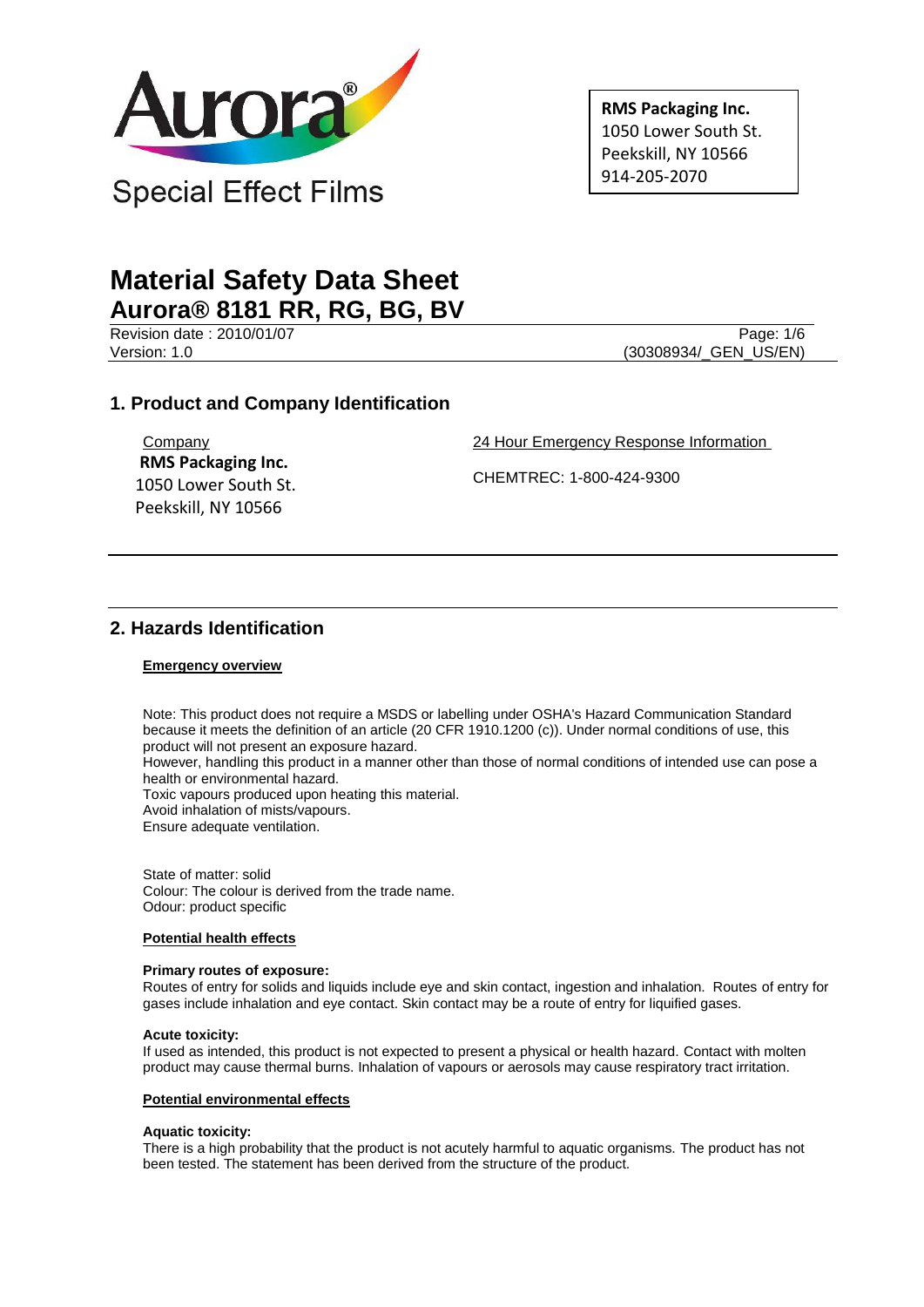

**RMS Packaging Inc.** 1050 Lower South St. Peekskill, NY 10566 914-205-2070

# **Material Safety Data Sheet Aurora® 8181 RR, RG, BG, BV**

Revision date : 2010/01/07 Page: 1/6 Version: 1.0 (30308934/ GEN US/EN)

# **1. Product and Company Identification**

**Company RMS Packaging Inc.** 1050 Lower South St. Peekskill, NY 10566

24 Hour Emergency Response Information

CHEMTREC: 1-800-424-9300

# **2. Hazards Identification**

# **Emergency overview**

Note: This product does not require a MSDS or labelling under OSHA's Hazard Communication Standard because it meets the definition of an article (20 CFR 1910.1200 (c)). Under normal conditions of use, this product will not present an exposure hazard.

However, handling this product in a manner other than those of normal conditions of intended use can pose a health or environmental hazard.

Toxic vapours produced upon heating this material.

Avoid inhalation of mists/vapours.

Ensure adequate ventilation.

State of matter: solid Colour: The colour is derived from the trade name. Odour: product specific

# **Potential health effects**

## **Primary routes of exposure:**

Routes of entry for solids and liquids include eye and skin contact, ingestion and inhalation. Routes of entry for gases include inhalation and eye contact. Skin contact may be a route of entry for liquified gases.

## **Acute toxicity:**

If used as intended, this product is not expected to present a physical or health hazard. Contact with molten product may cause thermal burns. Inhalation of vapours or aerosols may cause respiratory tract irritation.

## **Potential environmental effects**

## **Aquatic toxicity:**

There is a high probability that the product is not acutely harmful to aquatic organisms. The product has not been tested. The statement has been derived from the structure of the product.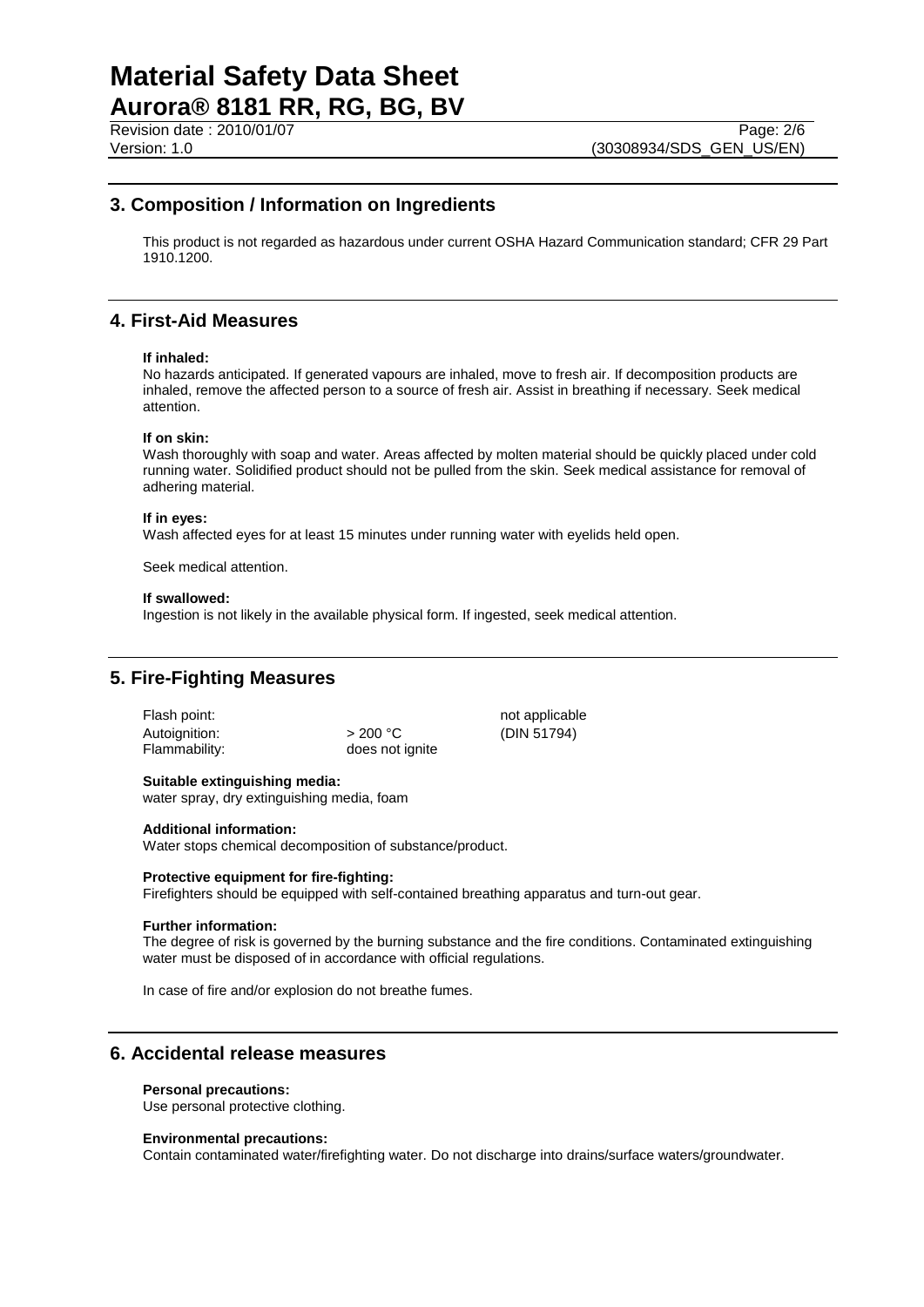# **Material Safety Data Sheet Aurora® 8181 RR, RG, BG, BV**

# **3. Composition / Information on Ingredients**

This product is not regarded as hazardous under current OSHA Hazard Communication standard; CFR 29 Part 1910.1200.

# **4. First-Aid Measures**

## **If inhaled:**

No hazards anticipated. If generated vapours are inhaled, move to fresh air. If decomposition products are inhaled, remove the affected person to a source of fresh air. Assist in breathing if necessary. Seek medical attention.

## **If on skin:**

Wash thoroughly with soap and water. Areas affected by molten material should be quickly placed under cold running water. Solidified product should not be pulled from the skin. Seek medical assistance for removal of adhering material.

## **If in eyes:**

Wash affected eyes for at least 15 minutes under running water with eyelids held open.

Seek medical attention.

## **If swallowed:**

Ingestion is not likely in the available physical form. If ingested, seek medical attention.

# **5. Fire-Fighting Measures**

| -lash point:  |  |
|---------------|--|
| Autoignition: |  |
| Flammability: |  |

 $> 200 °C$  (DIN 51794) does not ignite

not applicable

# **Suitable extinguishing media:**

water spray, dry extinguishing media, foam

#### **Additional information:**

Water stops chemical decomposition of substance/product.

#### **Protective equipment for fire-fighting:**

Firefighters should be equipped with self-contained breathing apparatus and turn-out gear.

#### **Further information:**

The degree of risk is governed by the burning substance and the fire conditions. Contaminated extinguishing water must be disposed of in accordance with official regulations.

In case of fire and/or explosion do not breathe fumes.

# **6. Accidental release measures**

## **Personal precautions:**

Use personal protective clothing.

## **Environmental precautions:**

Contain contaminated water/firefighting water. Do not discharge into drains/surface waters/groundwater.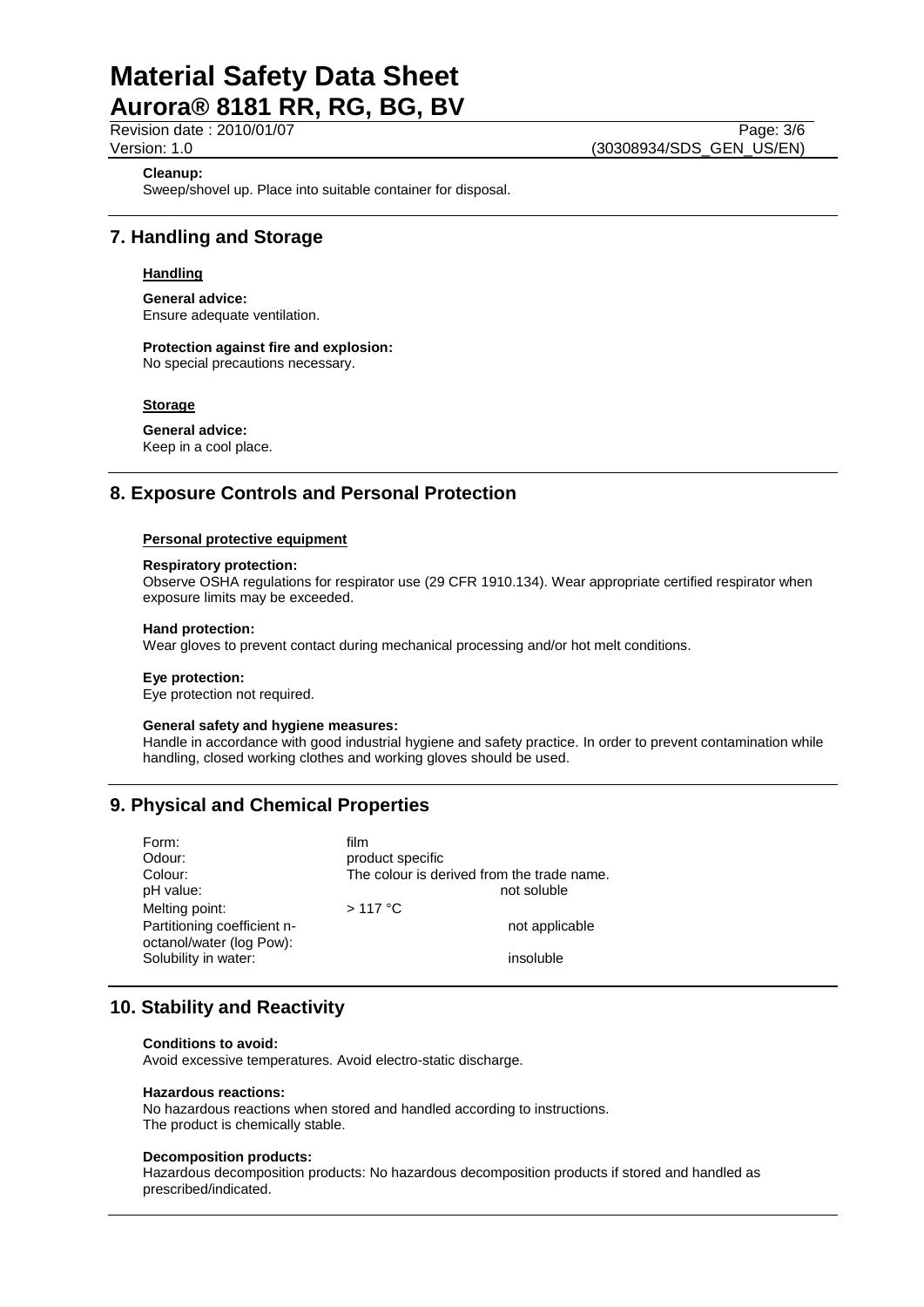# **Material Safety Data Sheet Aurora® 8181 RR, RG, BG, BV**

Revision date : 2010/01/07 Page: 3/6<br>Version: 1.0 (30308934/SDS GEN US/EN) (30308934/SDS\_GEN\_US/EN)

# **Cleanup:**

Sweep/shovel up. Place into suitable container for disposal.

# **7. Handling and Storage**

# **Handling**

**General advice:** Ensure adequate ventilation.

# **Protection against fire and explosion:**

No special precautions necessary.

# **Storage**

**General advice:** Keep in a cool place.

# **8. Exposure Controls and Personal Protection**

# **Personal protective equipment**

#### **Respiratory protection:**

Observe OSHA regulations for respirator use (29 CFR 1910.134). Wear appropriate certified respirator when exposure limits may be exceeded.

## **Hand protection:**

Wear gloves to prevent contact during mechanical processing and/or hot melt conditions.

#### **Eye protection:**

Eye protection not required.

#### **General safety and hygiene measures:**

Handle in accordance with good industrial hygiene and safety practice. In order to prevent contamination while handling, closed working clothes and working gloves should be used.

# **9. Physical and Chemical Properties**

| Form:                                                   | film                                       |
|---------------------------------------------------------|--------------------------------------------|
| Odour:                                                  | product specific                           |
| Colour:                                                 | The colour is derived from the trade name. |
| pH value:                                               | not soluble                                |
| Melting point:                                          | $>117$ °C                                  |
| Partitioning coefficient n-<br>octanol/water (log Pow): | not applicable                             |
| Solubility in water:                                    | insoluble                                  |

# **10. Stability and Reactivity**

#### **Conditions to avoid:**

Avoid excessive temperatures. Avoid electro-static discharge.

#### **Hazardous reactions:**

No hazardous reactions when stored and handled according to instructions. The product is chemically stable.

#### **Decomposition products:**

Hazardous decomposition products: No hazardous decomposition products if stored and handled as prescribed/indicated.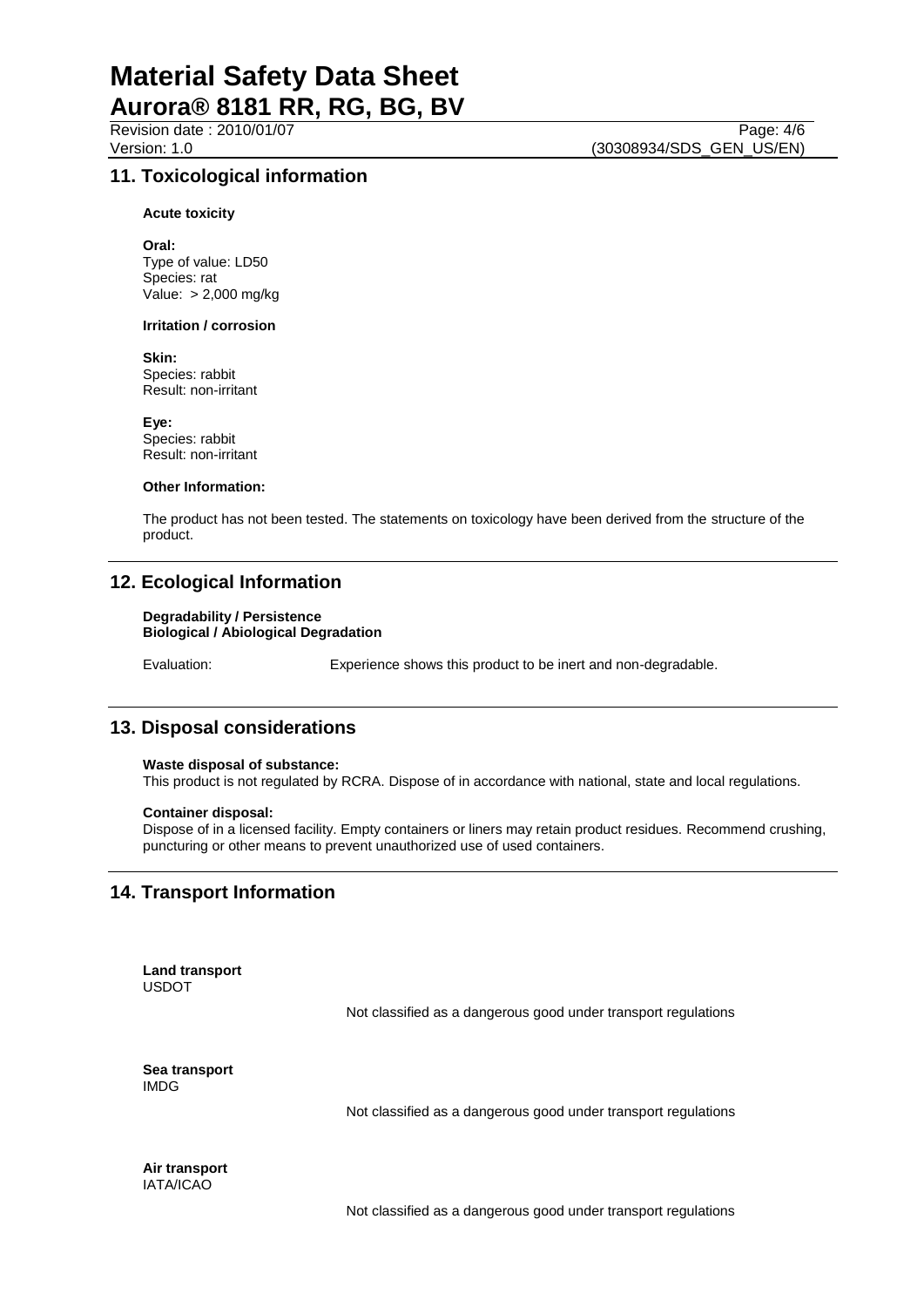Revision date : 2010/01/07 Page: 4/6<br>Version: 1.0 (30308934/SDS GEN US/EN)

# **11. Toxicological information**

**Acute toxicity**

**Oral:** Type of value: LD50 Species: rat Value: > 2,000 mg/kg

#### **Irritation / corrosion**

**Skin:**

Species: rabbit Result: non-irritant

**Eye:** Species: rabbit Result: non-irritant

## **Other Information:**

The product has not been tested. The statements on toxicology have been derived from the structure of the product.

# **12. Ecological Information**

#### **Degradability / Persistence Biological / Abiological Degradation**

Evaluation: Experience shows this product to be inert and non-degradable.

# **13. Disposal considerations**

## **Waste disposal of substance:**

This product is not regulated by RCRA. Dispose of in accordance with national, state and local regulations.

## **Container disposal:**

Dispose of in a licensed facility. Empty containers or liners may retain product residues. Recommend crushing, puncturing or other means to prevent unauthorized use of used containers.

# **14. Transport Information**

**Land transport** USDOT

Not classified as a dangerous good under transport regulations

**Sea transport** IMDG

Not classified as a dangerous good under transport regulations

**Air transport** IATA/ICAO

Not classified as a dangerous good under transport regulations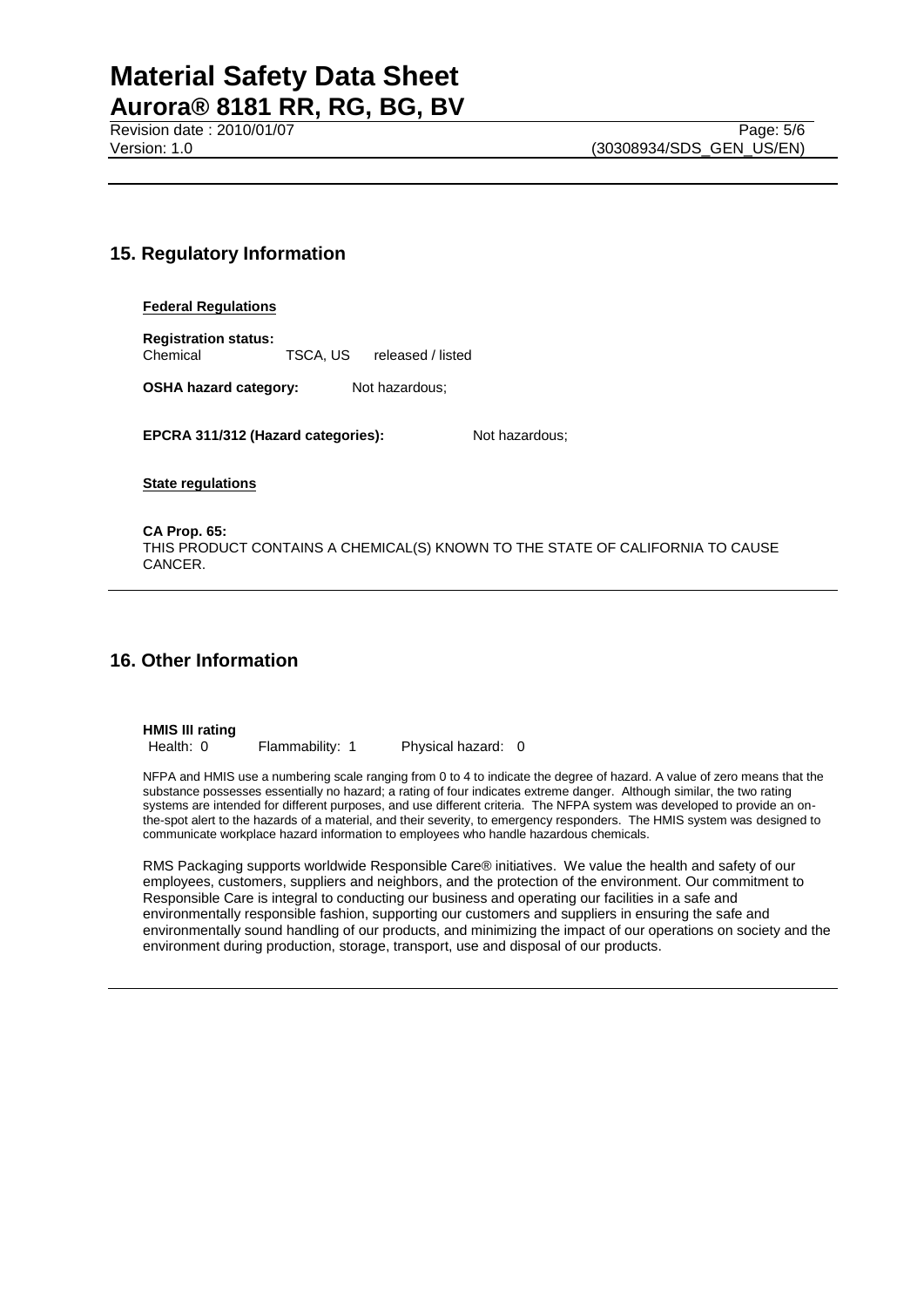# **15. Regulatory Information**

## **Federal Regulations**

**Registration status:** Chemical TSCA, US released / listed

**OSHA hazard category:** Not hazardous;

**EPCRA 311/312 (Hazard categories):** Not hazardous;

**State regulations**

**CA Prop. 65:** THIS PRODUCT CONTAINS A CHEMICAL(S) KNOWN TO THE STATE OF CALIFORNIA TO CAUSE CANCER.

# **16. Other Information**

**HMIS III rating**

Health: 0 Flammability: 1 Physical hazard: 0

NFPA and HMIS use a numbering scale ranging from 0 to 4 to indicate the degree of hazard. A value of zero means that the substance possesses essentially no hazard; a rating of four indicates extreme danger. Although similar, the two rating systems are intended for different purposes, and use different criteria. The NFPA system was developed to provide an onthe-spot alert to the hazards of a material, and their severity, to emergency responders. The HMIS system was designed to communicate workplace hazard information to employees who handle hazardous chemicals.

RMS Packaging supports worldwide Responsible Care® initiatives. We value the health and safety of our employees, customers, suppliers and neighbors, and the protection of the environment. Our commitment to Responsible Care is integral to conducting our business and operating our facilities in a safe and environmentally responsible fashion, supporting our customers and suppliers in ensuring the safe and environmentally sound handling of our products, and minimizing the impact of our operations on society and the environment during production, storage, transport, use and disposal of our products.